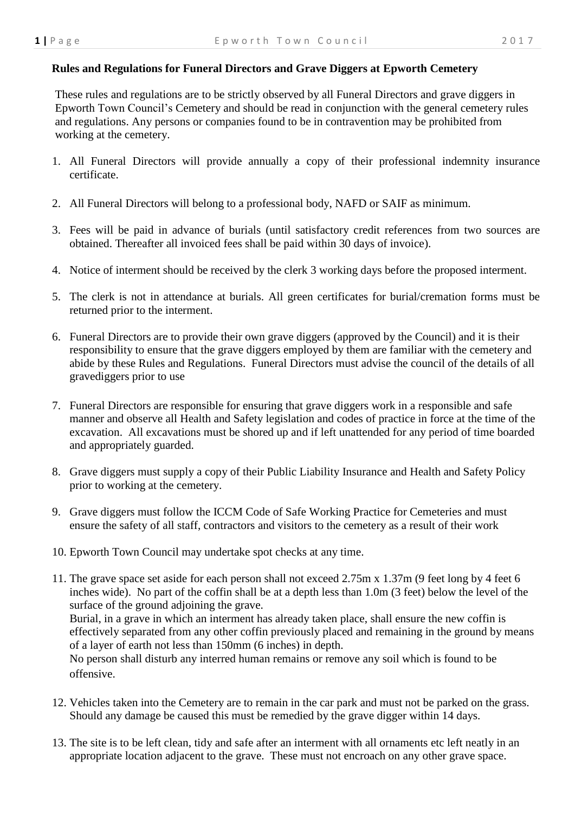## **Rules and Regulations for Funeral Directors and Grave Diggers at Epworth Cemetery**

 These rules and regulations are to be strictly observed by all Funeral Directors and grave diggers in Epworth Town Council's Cemetery and should be read in conjunction with the general cemetery rules and regulations. Any persons or companies found to be in contravention may be prohibited from working at the cemetery.

- 1. All Funeral Directors will provide annually a copy of their professional indemnity insurance certificate.
- 2. All Funeral Directors will belong to a professional body, NAFD or SAIF as minimum.
- 3. Fees will be paid in advance of burials (until satisfactory credit references from two sources are obtained. Thereafter all invoiced fees shall be paid within 30 days of invoice).
- 4. Notice of interment should be received by the clerk 3 working days before the proposed interment.
- 5. The clerk is not in attendance at burials. All green certificates for burial/cremation forms must be returned prior to the interment.
- 6. Funeral Directors are to provide their own grave diggers (approved by the Council) and it is their responsibility to ensure that the grave diggers employed by them are familiar with the cemetery and abide by these Rules and Regulations. Funeral Directors must advise the council of the details of all gravediggers prior to use
- 7. Funeral Directors are responsible for ensuring that grave diggers work in a responsible and safe manner and observe all Health and Safety legislation and codes of practice in force at the time of the excavation. All excavations must be shored up and if left unattended for any period of time boarded and appropriately guarded.
- 8. Grave diggers must supply a copy of their Public Liability Insurance and Health and Safety Policy prior to working at the cemetery.
- 9. Grave diggers must follow the ICCM Code of Safe Working Practice for Cemeteries and must ensure the safety of all staff, contractors and visitors to the cemetery as a result of their work
- 10. Epworth Town Council may undertake spot checks at any time.
- 11. The grave space set aside for each person shall not exceed 2.75m x 1.37m (9 feet long by 4 feet 6 inches wide). No part of the coffin shall be at a depth less than 1.0m (3 feet) below the level of the surface of the ground adjoining the grave. Burial, in a grave in which an interment has already taken place, shall ensure the new coffin is effectively separated from any other coffin previously placed and remaining in the ground by means of a layer of earth not less than 150mm (6 inches) in depth. No person shall disturb any interred human remains or remove any soil which is found to be offensive.
- 12. Vehicles taken into the Cemetery are to remain in the car park and must not be parked on the grass. Should any damage be caused this must be remedied by the grave digger within 14 days.
- 13. The site is to be left clean, tidy and safe after an interment with all ornaments etc left neatly in an appropriate location adjacent to the grave. These must not encroach on any other grave space.